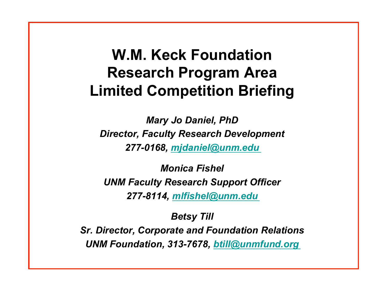#### **W.M. Keck Foundation Research Program Area Limited Competition Briefing**

*Mary Jo Daniel, PhD Director, Faculty Research Development 277-0168, mjdaniel@unm.edu*

*Monica Fishel UNM Faculty Research Support Officer 277-8114, mlfishel@unm.edu*

*Betsy Till* 

*Sr. Director, Corporate and Foundation Relations UNM Foundation, 313-7678, btill@unmfund.org*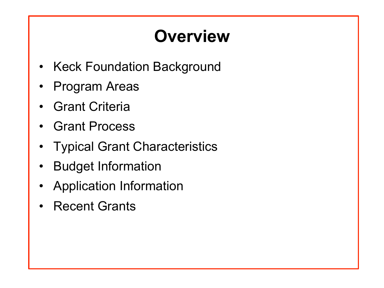## **Overview**

- **Keck Foundation Background**
- Program Areas
- **Grant Criteria**
- Grant Process
- **Typical Grant Characteristics**
- Budget Information
- Application Information
- **Recent Grants**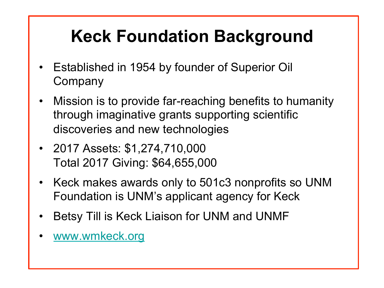# **Keck Foundation Background**

- Established in 1954 by founder of Superior Oil **Company**
- Mission is to provide far-reaching benefits to humanity through imaginative grants supporting scientific discoveries and new technologies
- 2017 Assets: \$1,274,710,000 Total 2017 Giving: \$64,655,000
- Keck makes awards only to 501c3 nonprofits so UNM Foundation is UNM's applicant agency for Keck
- Betsy Till is Keck Liaison for UNM and UNMF
- www.wmkeck.org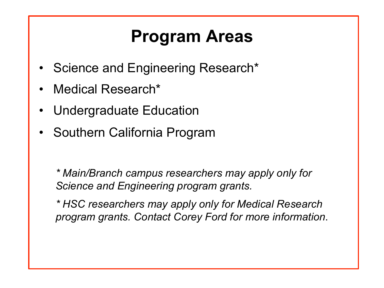### **Program Areas**

- Science and Engineering Research<sup>\*</sup>
- Medical Research\*
- Undergraduate Education
- Southern California Program

*\* Main/Branch campus researchers may apply only for Science and Engineering program grants.* 

*\* HSC researchers may apply only for Medical Research program grants. Contact Corey Ford for more information*.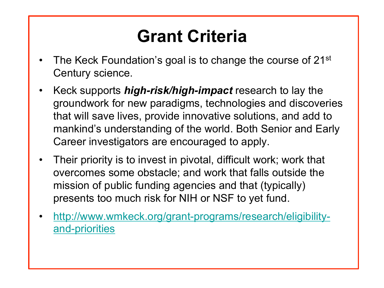### **Grant Criteria**

- The Keck Foundation's goal is to change the course of 21<sup>st</sup> Century science.
- Keck supports *high-risk/high-impact* research to lay the groundwork for new paradigms, technologies and discoveries that will save lives, provide innovative solutions, and add to mankind's understanding of the world. Both Senior and Early Career investigators are encouraged to apply.
- Their priority is to invest in pivotal, difficult work; work that overcomes some obstacle; and work that falls outside the mission of public funding agencies and that (typically) presents too much risk for NIH or NSF to yet fund.
- http://www.wmkeck.org/grant-programs/research/eligibilityand-priorities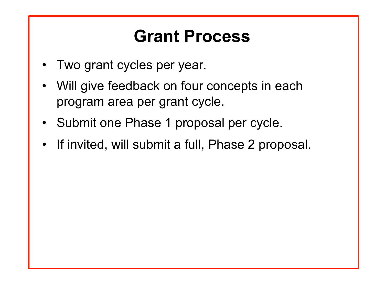#### **Grant Process**

- Two grant cycles per year.
- Will give feedback on four concepts in each program area per grant cycle.
- Submit one Phase 1 proposal per cycle.
- If invited, will submit a full, Phase 2 proposal.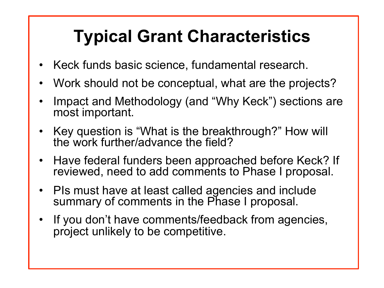# **Typical Grant Characteristics**

- Keck funds basic science, fundamental research.
- Work should not be conceptual, what are the projects?
- Impact and Methodology (and "Why Keck") sections are most important.
- Key question is "What is the breakthrough?" How will the work further/advance the field?
- Have federal funders been approached before Keck? If reviewed, need to add comments to Phase I proposal.
- PIs must have at least called agencies and include summary of comments in the Phase I proposal.
- If you don't have comments/feedback from agencies, project unlikely to be competitive.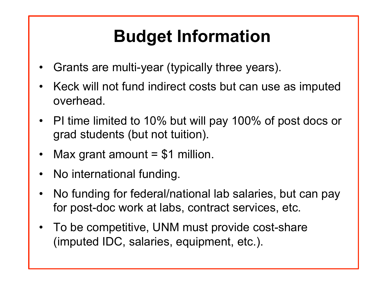# **Budget Information**

- Grants are multi-year (typically three years).
- Keck will not fund indirect costs but can use as imputed overhead.
- PI time limited to 10% but will pay 100% of post docs or grad students (but not tuition).
- Max grant amount  $= $1$  million.
- No international funding.
- No funding for federal/national lab salaries, but can pay for post-doc work at labs, contract services, etc.
- To be competitive, UNM must provide cost-share (imputed IDC, salaries, equipment, etc.).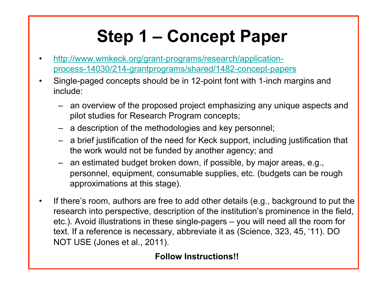# **Step 1 – Concept Paper**

- http://www.wmkeck.org/grant-programs/research/applicationprocess-14030/214-grantprograms/shared/1482-concept-papers
- Single-paged concepts should be in 12-point font with 1-inch margins and include:
	- an overview of the proposed project emphasizing any unique aspects and pilot studies for Research Program concepts;
	- a description of the methodologies and key personnel;
	- a brief justification of the need for Keck support, including justification that the work would not be funded by another agency; and
	- an estimated budget broken down, if possible, by major areas, e.g., personnel, equipment, consumable supplies, etc. (budgets can be rough approximations at this stage).
- If there's room, authors are free to add other details (e.g., background to put the research into perspective, description of the institution's prominence in the field, etc.). Avoid illustrations in these single-pagers – you will need all the room for text. If a reference is necessary, abbreviate it as (Science, 323, 45, '11). DO NOT USE (Jones et al., 2011).

#### **Follow Instructions!!**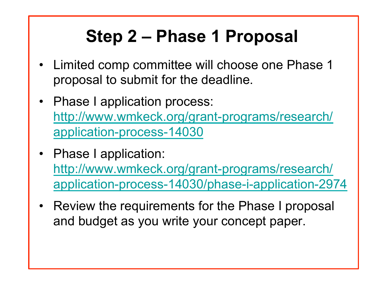# **Step 2 – Phase 1 Proposal**

- Limited comp committee will choose one Phase 1 proposal to submit for the deadline.
- Phase I application process: http://www.wmkeck.org/grant-programs/research/ application-process-14030
- Phase I application: http://www.wmkeck.org/grant-programs/research/ application-process-14030/phase-i-application-2974
- Review the requirements for the Phase I proposal and budget as you write your concept paper.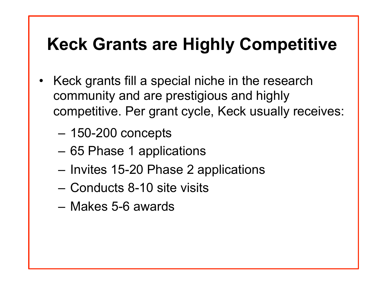#### **Keck Grants are Highly Competitive**

- Keck grants fill a special niche in the research community and are prestigious and highly competitive. Per grant cycle, Keck usually receives:
	- 150-200 concepts
	- 65 Phase 1 applications
	- Invites 15-20 Phase 2 applications
	- Conducts 8-10 site visits
	- Makes 5-6 awards